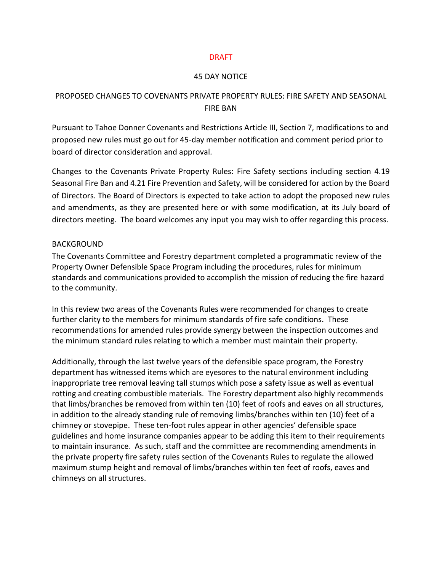#### DRAFT

#### 45 DAY NOTICE

## PROPOSED CHANGES TO COVENANTS PRIVATE PROPERTY RULES: FIRE SAFETY AND SEASONAL FIRE BAN

Pursuant to Tahoe Donner Covenants and Restrictions Article III, Section 7, modifications to and proposed new rules must go out for 45-day member notification and comment period prior to board of director consideration and approval.

Changes to the Covenants Private Property Rules: Fire Safety sections including section 4.19 Seasonal Fire Ban and 4.21 Fire Prevention and Safety, will be considered for action by the Board of Directors. The Board of Directors is expected to take action to adopt the proposed new rules and amendments, as they are presented here or with some modification, at its July board of directors meeting. The board welcomes any input you may wish to offer regarding this process.

#### BACKGROUND

The Covenants Committee and Forestry department completed a programmatic review of the Property Owner Defensible Space Program including the procedures, rules for minimum standards and communications provided to accomplish the mission of reducing the fire hazard to the community.

In this review two areas of the Covenants Rules were recommended for changes to create further clarity to the members for minimum standards of fire safe conditions. These recommendations for amended rules provide synergy between the inspection outcomes and the minimum standard rules relating to which a member must maintain their property.

Additionally, through the last twelve years of the defensible space program, the Forestry department has witnessed items which are eyesores to the natural environment including inappropriate tree removal leaving tall stumps which pose a safety issue as well as eventual rotting and creating combustible materials. The Forestry department also highly recommends that limbs/branches be removed from within ten (10) feet of roofs and eaves on all structures, in addition to the already standing rule of removing limbs/branches within ten (10) feet of a chimney or stovepipe. These ten-foot rules appear in other agencies' defensible space guidelines and home insurance companies appear to be adding this item to their requirements to maintain insurance. As such, staff and the committee are recommending amendments in the private property fire safety rules section of the Covenants Rules to regulate the allowed maximum stump height and removal of limbs/branches within ten feet of roofs, eaves and chimneys on all structures.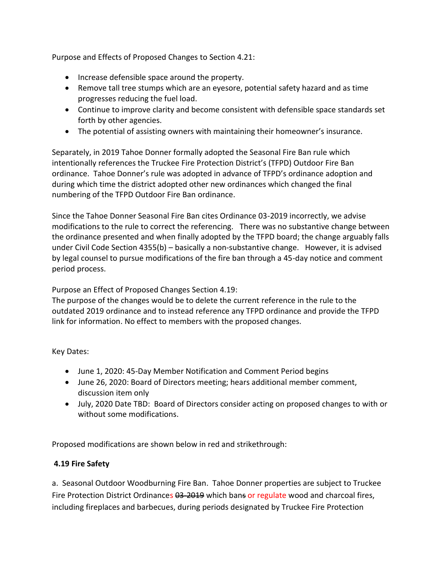Purpose and Effects of Proposed Changes to Section 4.21:

- Increase defensible space around the property.
- Remove tall tree stumps which are an eyesore, potential safety hazard and as time progresses reducing the fuel load.
- Continue to improve clarity and become consistent with defensible space standards set forth by other agencies.
- The potential of assisting owners with maintaining their homeowner's insurance.

Separately, in 2019 Tahoe Donner formally adopted the Seasonal Fire Ban rule which intentionally references the Truckee Fire Protection District's (TFPD) Outdoor Fire Ban ordinance. Tahoe Donner's rule was adopted in advance of TFPD's ordinance adoption and during which time the district adopted other new ordinances which changed the final numbering of the TFPD Outdoor Fire Ban ordinance.

Since the Tahoe Donner Seasonal Fire Ban cites Ordinance 03-2019 incorrectly, we advise modifications to the rule to correct the referencing. There was no substantive change between the ordinance presented and when finally adopted by the TFPD board; the change arguably falls under Civil Code Section 4355(b) – basically a non-substantive change. However, it is advised by legal counsel to pursue modifications of the fire ban through a 45-day notice and comment period process.

Purpose an Effect of Proposed Changes Section 4.19:

The purpose of the changes would be to delete the current reference in the rule to the outdated 2019 ordinance and to instead reference any TFPD ordinance and provide the TFPD link for information. No effect to members with the proposed changes.

Key Dates:

- June 1, 2020: 45-Day Member Notification and Comment Period begins
- June 26, 2020: Board of Directors meeting; hears additional member comment, discussion item only
- July, 2020 Date TBD: Board of Directors consider acting on proposed changes to with or without some modifications.

Proposed modifications are shown below in red and strikethrough:

# **4.19 Fire Safety**

a. Seasonal Outdoor Woodburning Fire Ban. Tahoe Donner properties are subject to Truckee Fire Protection District Ordinances 03-2019 which bans or regulate wood and charcoal fires, including fireplaces and barbecues, during periods designated by Truckee Fire Protection